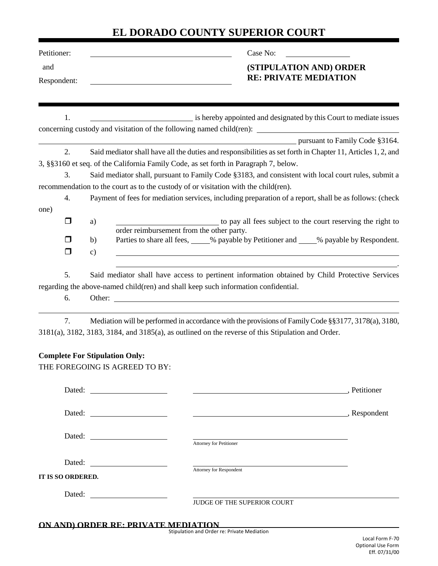## **EL DORADO COUNTY SUPERIOR COURT**

| Petitioner:       |                                                                         | Case No:                                                                                                                                                                                    |
|-------------------|-------------------------------------------------------------------------|---------------------------------------------------------------------------------------------------------------------------------------------------------------------------------------------|
| and               |                                                                         | (STIPULATION AND) ORDER                                                                                                                                                                     |
| Respondent:       |                                                                         | <b>RE: PRIVATE MEDIATION</b>                                                                                                                                                                |
|                   |                                                                         |                                                                                                                                                                                             |
| 1.                |                                                                         | is hereby appointed and designated by this Court to mediate issues                                                                                                                          |
|                   |                                                                         |                                                                                                                                                                                             |
|                   |                                                                         | pursuant to Family Code §3164.                                                                                                                                                              |
| 2.                |                                                                         | Said mediator shall have all the duties and responsibilities as set forth in Chapter 11, Articles 1, 2, and                                                                                 |
| 3.                |                                                                         | 3, §§3160 et seq. of the California Family Code, as set forth in Paragraph 7, below.<br>Said mediator shall, pursuant to Family Code §3183, and consistent with local court rules, submit a |
|                   |                                                                         | recommendation to the court as to the custody of or visitation with the child(ren).                                                                                                         |
| 4.                |                                                                         | Payment of fees for mediation services, including preparation of a report, shall be as follows: (check                                                                                      |
| one)              |                                                                         |                                                                                                                                                                                             |
| $\Box$            | a)                                                                      | to pay all fees subject to the court reserving the right to                                                                                                                                 |
|                   | order reimbursement from the other party.                               |                                                                                                                                                                                             |
| H                 | b)                                                                      | Parties to share all fees, ____% payable by Petitioner and ____% payable by Respondent.                                                                                                     |
| $\Box$            | $\mathbf{c})$                                                           |                                                                                                                                                                                             |
| 5.                |                                                                         | Said mediator shall have access to pertinent information obtained by Child Protective Services                                                                                              |
|                   |                                                                         | regarding the above-named child(ren) and shall keep such information confidential.                                                                                                          |
| 6.                |                                                                         |                                                                                                                                                                                             |
| 7.                |                                                                         | Mediation will be performed in accordance with the provisions of Family Code §§3177, 3178(a), 3180,                                                                                         |
|                   |                                                                         | 3181(a), 3182, 3183, 3184, and 3185(a), as outlined on the reverse of this Stipulation and Order.                                                                                           |
|                   |                                                                         |                                                                                                                                                                                             |
|                   | <b>Complete For Stipulation Only:</b><br>THE FOREGOING IS AGREED TO BY: |                                                                                                                                                                                             |
|                   |                                                                         |                                                                                                                                                                                             |
|                   |                                                                         | Petitioner                                                                                                                                                                                  |
|                   |                                                                         |                                                                                                                                                                                             |
|                   |                                                                         | Respondent Respondent                                                                                                                                                                       |
|                   |                                                                         |                                                                                                                                                                                             |
|                   |                                                                         | Attorney for Petitioner                                                                                                                                                                     |
|                   |                                                                         |                                                                                                                                                                                             |
|                   |                                                                         | Attorney for Respondent                                                                                                                                                                     |
| IT IS SO ORDERED. |                                                                         |                                                                                                                                                                                             |
|                   |                                                                         |                                                                                                                                                                                             |
|                   |                                                                         | JUDGE OF THE SUPERIOR COURT                                                                                                                                                                 |
|                   |                                                                         | ON AND) ORDER RE: PRIVATE MEDIATION                                                                                                                                                         |